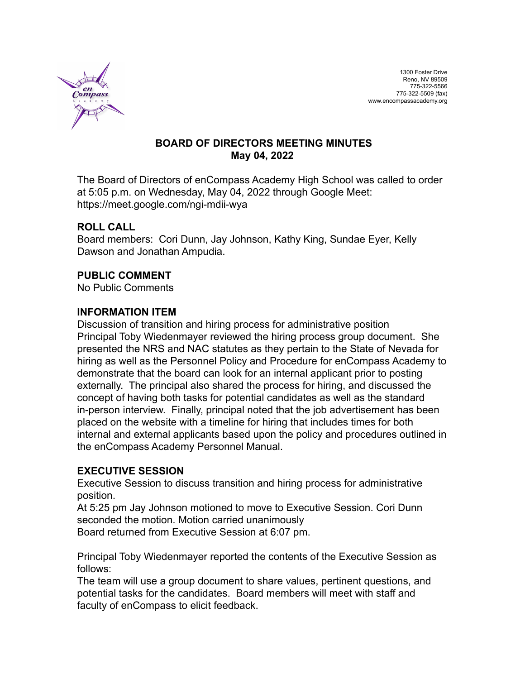

### **BOARD OF DIRECTORS MEETING MINUTES May 04, 2022**

The Board of Directors of enCompass Academy High School was called to order at 5:05 p.m. on Wednesday, May 04, 2022 through Google Meet: https://meet.google.com/ngi-mdii-wya

## **ROLL CALL**

Board members: Cori Dunn, Jay Johnson, Kathy King, Sundae Eyer, Kelly Dawson and Jonathan Ampudia.

## **PUBLIC COMMENT**

No Public Comments

### **INFORMATION ITEM**

Discussion of transition and hiring process for administrative position Principal Toby Wiedenmayer reviewed the hiring process group document. She presented the NRS and NAC statutes as they pertain to the State of Nevada for hiring as well as the Personnel Policy and Procedure for enCompass Academy to demonstrate that the board can look for an internal applicant prior to posting externally. The principal also shared the process for hiring, and discussed the concept of having both tasks for potential candidates as well as the standard in-person interview. Finally, principal noted that the job advertisement has been placed on the website with a timeline for hiring that includes times for both internal and external applicants based upon the policy and procedures outlined in the enCompass Academy Personnel Manual.

### **EXECUTIVE SESSION**

Executive Session to discuss transition and hiring process for administrative position.

At 5:25 pm Jay Johnson motioned to move to Executive Session. Cori Dunn seconded the motion. Motion carried unanimously

Board returned from Executive Session at 6:07 pm.

Principal Toby Wiedenmayer reported the contents of the Executive Session as follows:

The team will use a group document to share values, pertinent questions, and potential tasks for the candidates. Board members will meet with staff and faculty of enCompass to elicit feedback.